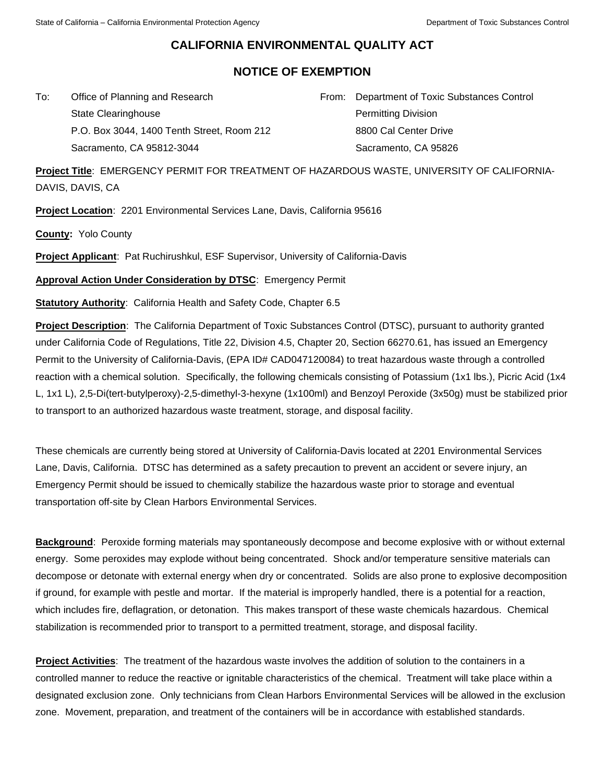## **CALIFORNIA ENVIRONMENTAL QUALITY ACT**

## **NOTICE OF EXEMPTION**

To: Office of Planning and Research State Clearinghouse P.O. Box 3044, 1400 Tenth Street, Room 212 Sacramento, CA 95812-3044

From: Department of Toxic Substances Control Permitting Division 8800 Cal Center Drive Sacramento, CA 95826

**Project Title**: EMERGENCY PERMIT FOR TREATMENT OF HAZARDOUS WASTE, UNIVERSITY OF CALIFORNIA-DAVIS, DAVIS, CA

**Project Location**: 2201 Environmental Services Lane, Davis, California 95616

**County:** Yolo County

**Project Applicant**: Pat Ruchirushkul, ESF Supervisor, University of California-Davis

**Approval Action Under Consideration by DTSC**: Emergency Permit

**Statutory Authority**: California Health and Safety Code, Chapter 6.5

**Project Description**: The California Department of Toxic Substances Control (DTSC), pursuant to authority granted under California Code of Regulations, Title 22, Division 4.5, Chapter 20, Section 66270.61, has issued an Emergency Permit to the University of California-Davis, (EPA ID# CAD047120084) to treat hazardous waste through a controlled reaction with a chemical solution. Specifically, the following chemicals consisting of Potassium (1x1 lbs.), Picric Acid (1x4 L, 1x1 L), 2,5-Di(tert-butylperoxy)-2,5-dimethyl-3-hexyne (1x100ml) and Benzoyl Peroxide (3x50g) must be stabilized prior to transport to an authorized hazardous waste treatment, storage, and disposal facility.

These chemicals are currently being stored at University of California-Davis located at 2201 Environmental Services Lane, Davis, California. DTSC has determined as a safety precaution to prevent an accident or severe injury, an Emergency Permit should be issued to chemically stabilize the hazardous waste prior to storage and eventual transportation off-site by Clean Harbors Environmental Services.

**Background**: Peroxide forming materials may spontaneously decompose and become explosive with or without external energy. Some peroxides may explode without being concentrated. Shock and/or temperature sensitive materials can decompose or detonate with external energy when dry or concentrated. Solids are also prone to explosive decomposition if ground, for example with pestle and mortar. If the material is improperly handled, there is a potential for a reaction, which includes fire, deflagration, or detonation. This makes transport of these waste chemicals hazardous. Chemical stabilization is recommended prior to transport to a permitted treatment, storage, and disposal facility.

**Project Activities**: The treatment of the hazardous waste involves the addition of solution to the containers in a controlled manner to reduce the reactive or ignitable characteristics of the chemical. Treatment will take place within a designated exclusion zone. Only technicians from Clean Harbors Environmental Services will be allowed in the exclusion zone. Movement, preparation, and treatment of the containers will be in accordance with established standards.